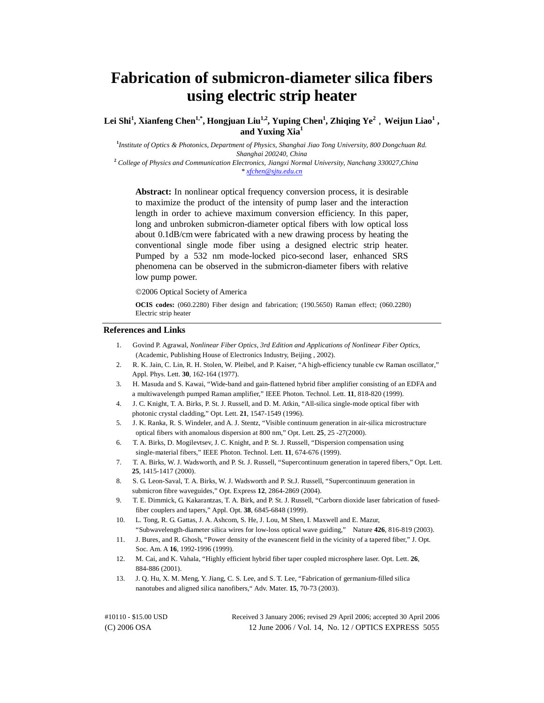# **Fabrication of submicron-diameter silica fibers using electric strip heater**

Lei Shi<sup>1</sup>, Xianfeng Chen<sup>1,\*</sup>, Hongjuan Liu<sup>1,2</sup>, Yuping Chen<sup>1</sup>, Zhiqing Ye<sup>2</sup>, Weijun Liao<sup>1</sup>, **and Yuxing Xia1**

**1** *Institute of Optics & Photonics, Department of Physics, Shanghai Jiao Tong University, 800 Dongchuan Rd. Shanghai 200240, China* **2**  *College of Physics and Communication Electronics, Jiangxi Normal University, Nanchang 330027,China*

*\* xfchen@sjtu.edu.cn*

**Abstract:** In nonlinear optical frequency conversion process, it is desirable to maximize the product of the intensity of pump laser and the interaction length in order to achieve maximum conversion efficiency. In this paper, long and unbroken submicron-diameter optical fibers with low optical loss about 0.1dB/cmwere fabricated with a new drawing process by heating the conventional single mode fiber using a designed electric strip heater. Pumped by a 532 nm mode-locked pico-second laser, enhanced SRS phenomena can be observed in the submicron-diameter fibers with relative low pump power.

©2006 Optical Society of America

**OCIS codes:** (060.2280) Fiber design and fabrication; (190.5650) Raman effect; (060.2280) Electric strip heater

#### **References and Links**

- 1. Govind P. Agrawal, *Nonlinear Fiber Optics, 3rd Edition and Applications of Nonlinear Fiber Optics*, (Academic, Publishing House of Electronics Industry, Beijing , 2002).
- 2. R. K. Jain, C. Lin, R. H. Stolen, W. Pleibel, and P. Kaiser, "A high-efficiency tunable cw Raman oscillator," Appl. Phys. Lett. **30**, 162-164 (1977).
- 3. H. Masuda and S. Kawai, "Wide-band and gain-flattened hybrid fiber amplifier consisting of an EDFA and a multiwavelength pumped Raman amplifier," IEEE Photon. Technol. Lett. **11**, 818-820 (1999).
- 4. J. C. Knight, T. A. Birks, P. St. J. Russell, and D. M. Atkin, "All-silica single-mode optical fiber with photonic crystal cladding," Opt. Lett. **21**, 1547-1549 (1996).
- 5. J. K. Ranka, R. S. Windeler, and A. J. Stentz, "Visible continuum generation in air-silica microstructure optical fibers with anomalous dispersion at 800 nm," Opt. Lett. **25**, 25 -27(2000).
- 6. T. A. Birks, D. Mogilevtsev, J. C. Knight, and P. St. J. Russell, "Dispersion compensation using single-material fibers," IEEE Photon. Technol. Lett. **11**, 674-676 (1999).
- 7. T. A. Birks, W. J. Wadsworth, and P. St. J. Russell, "Supercontinuum generation in tapered fibers," Opt. Lett. **25**, 1415-1417 (2000).
- 8. S. G. Leon-Saval, T. A. Birks, W. J. Wadsworth and P. St.J. Russell, "Supercontinuum generation in submicron fibre waveguides," Opt. Express **12**, 2864-2869 (2004).
- 9. T. E. Dimmick, G. Kakarantzas, T. A. Birk, and P. St. J. Russell, "Carborn dioxide laser fabrication of fusedfiber couplers and tapers," Appl. Opt. **38**, 6845-6848 (1999).
- 10. L. Tong, R. G. Gattas, J. A. Ashcom, S. He, J. Lou, M Shen, I. Maxwell and E. Mazur, "Subwavelength-diameter silica wires for low-loss optical wave guiding," Nature **426**, 816-819 (2003).
- 11. J. Bures, and R. Ghosh, "Power density of the evanescent field in the vicinity of a tapered fiber," J. Opt. Soc. Am. A **16**, 1992-1996 (1999).
- 12. M. Cai, and K. Vahala, "Highly efficient hybrid fiber taper coupled microsphere laser. Opt. Lett. **26**, 884-886 (2001).
- 13. J. Q. Hu, X. M. Meng, Y. Jiang, C. S. Lee, and S. T. Lee, "Fabrication of germanium-filled silica nanotubes and aligned silica nanofibers," Adv. Mater. **15**, 70-73 (2003).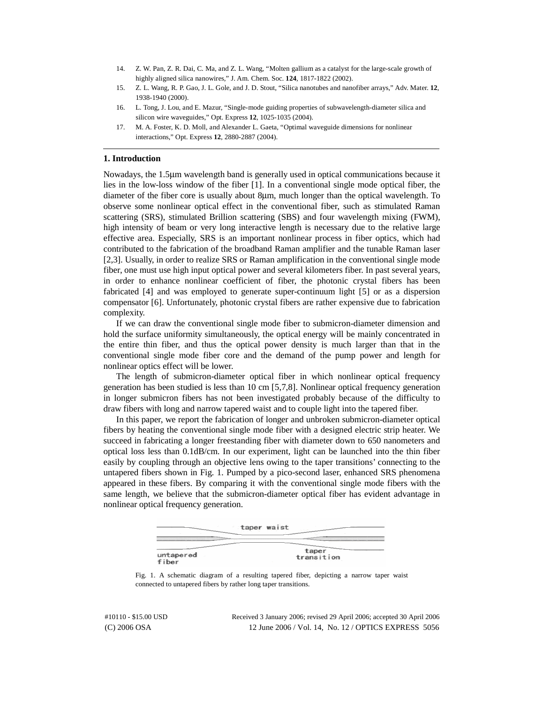- 14. Z. W. Pan, Z. R. Dai, C. Ma, and Z. L. Wang, "Molten gallium as a catalyst for the large-scale growth of highly aligned silica nanowires," J. Am. Chem. Soc. **124**, 1817-1822 (2002).
- 15. Z. L. Wang, R. P. Gao, J. L. Gole, and J. D. Stout, "Silica nanotubes and nanofiber arrays," Adv. Mater. **12**, 1938-1940 (2000).
- 16. L. Tong, J. Lou, and E. Mazur, "Single-mode guiding properties of subwavelength-diameter silica and silicon wire waveguides," Opt. Express **12**, 1025-1035 (2004).
- 17. M. A. Foster, K. D. Moll, and Alexander L. Gaeta, "Optimal waveguide dimensions for nonlinear interactions," Opt. Express **12**, 2880-2887 (2004).

### **1. Introduction**

Nowadays, the 1.5μm wavelength band is generally used in optical communications because it lies in the low-loss window of the fiber [1]. In a conventional single mode optical fiber, the diameter of the fiber core is usually about 8μm, much longer than the optical wavelength. To observe some nonlinear optical effect in the conventional fiber, such as stimulated Raman scattering (SRS), stimulated Brillion scattering (SBS) and four wavelength mixing (FWM), high intensity of beam or very long interactive length is necessary due to the relative large effective area. Especially, SRS is an important nonlinear process in fiber optics, which had contributed to the fabrication of the broadband Raman amplifier and the tunable Raman laser [2,3]. Usually, in order to realize SRS or Raman amplification in the conventional single mode fiber, one must use high input optical power and several kilometers fiber. In past several years, in order to enhance nonlinear coefficient of fiber, the photonic crystal fibers has been fabricated [4] and was employed to generate super-continuum light [5] or as a dispersion compensator [6]. Unfortunately, photonic crystal fibers are rather expensive due to fabrication complexity.

If we can draw the conventional single mode fiber to submicron-diameter dimension and hold the surface uniformity simultaneously, the optical energy will be mainly concentrated in the entire thin fiber, and thus the optical power density is much larger than that in the conventional single mode fiber core and the demand of the pump power and length for nonlinear optics effect will be lower.

The length of submicron-diameter optical fiber in which nonlinear optical frequency generation has been studied is less than 10 cm [5,7,8]. Nonlinear optical frequency generation in longer submicron fibers has not been investigated probably because of the difficulty to draw fibers with long and narrow tapered waist and to couple light into the tapered fiber.

In this paper, we report the fabrication of longer and unbroken submicron-diameter optical fibers by heating the conventional single mode fiber with a designed electric strip heater. We succeed in fabricating a longer freestanding fiber with diameter down to 650 nanometers and optical loss less than 0.1dB/cm. In our experiment, light can be launched into the thin fiber easily by coupling through an objective lens owing to the taper transitions' connecting to the untapered fibers shown in Fig. 1. Pumped by a pico-second laser, enhanced SRS phenomena appeared in these fibers. By comparing it with the conventional single mode fibers with the same length, we believe that the submicron-diameter optical fiber has evident advantage in nonlinear optical frequency generation.



Fig. 1. A schematic diagram of a resulting tapered fiber, depicting a narrow taper waist connected to untapered fibers by rather long taper transitions.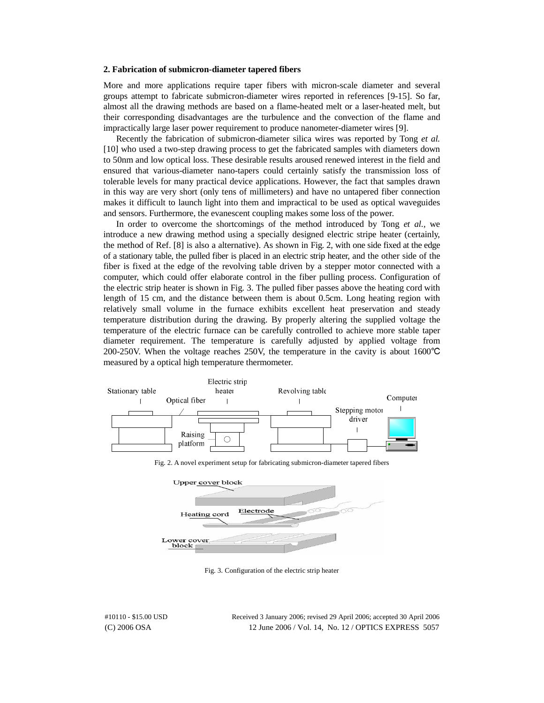#### **2. Fabrication of submicron-diameter tapered fibers**

More and more applications require taper fibers with micron-scale diameter and several groups attempt to fabricate submicron-diameter wires reported in references [9-15]. So far, almost all the drawing methods are based on a flame-heated melt or a laser-heated melt, but their corresponding disadvantages are the turbulence and the convection of the flame and impractically large laser power requirement to produce nanometer-diameter wires [9].

Recently the fabrication of submicron-diameter silica wires was reported by Tong *et al.* [10] who used a two-step drawing process to get the fabricated samples with diameters down to 50nm and low optical loss. These desirable results aroused renewed interest in the field and ensured that various-diameter nano-tapers could certainly satisfy the transmission loss of tolerable levels for many practical device applications. However, the fact that samples drawn in this way are very short (only tens of millimeters) and have no untapered fiber connection makes it difficult to launch light into them and impractical to be used as optical waveguides and sensors. Furthermore, the evanescent coupling makes some loss of the power.

In order to overcome the shortcomings of the method introduced by Tong *et al.,* we introduce a new drawing method using a specially designed electric stripe heater (certainly, the method of Ref. [8] is also a alternative). As shown in Fig. 2, with one side fixed at the edge of a stationary table, the pulled fiber is placed in an electric strip heater, and the other side of the fiber is fixed at the edge of the revolving table driven by a stepper motor connected with a computer, which could offer elaborate control in the fiber pulling process. Configuration of the electric strip heater is shown in Fig. 3. The pulled fiber passes above the heating cord with length of 15 cm, and the distance between them is about 0.5cm. Long heating region with relatively small volume in the furnace exhibits excellent heat preservation and steady temperature distribution during the drawing. By properly altering the supplied voltage the temperature of the electric furnace can be carefully controlled to achieve more stable taper diameter requirement. The temperature is carefully adjusted by applied voltage from 200-250V. When the voltage reaches 250V, the temperature in the cavity is about 1600℃ measured by a optical high temperature thermometer.



Fig. 2. A novel experiment setup for fabricating submicron-diameter tapered fibers



Fig. 3. Configuration of the electric strip heater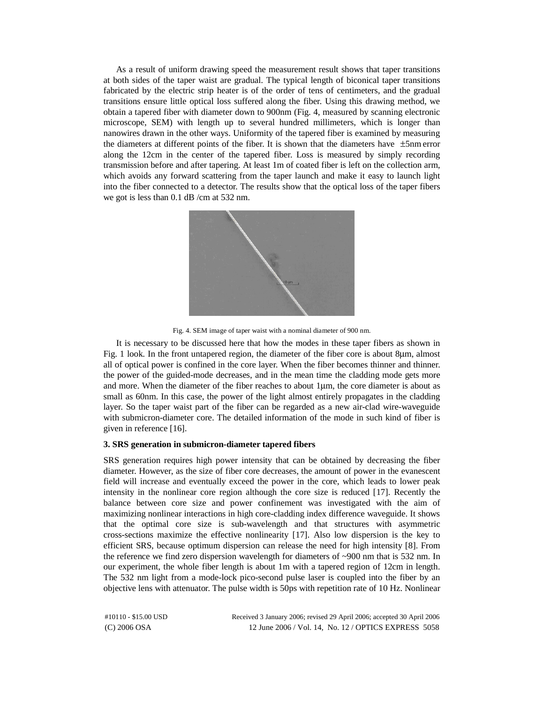As a result of uniform drawing speed the measurement result shows that taper transitions at both sides of the taper waist are gradual. The typical length of biconical taper transitions fabricated by the electric strip heater is of the order of tens of centimeters, and the gradual transitions ensure little optical loss suffered along the fiber. Using this drawing method, we obtain a tapered fiber with diameter down to 900nm (Fig. 4, measured by scanning electronic microscope, SEM) with length up to several hundred millimeters, which is longer than nanowires drawn in the other ways. Uniformity of the tapered fiber is examined by measuring the diameters at different points of the fiber. It is shown that the diameters have ±5nm error along the 12cm in the center of the tapered fiber. Loss is measured by simply recording transmission before and after tapering. At least 1m of coated fiber is left on the collection arm, which avoids any forward scattering from the taper launch and make it easy to launch light into the fiber connected to a detector. The results show that the optical loss of the taper fibers we got is less than 0.1 dB /cm at 532 nm.



Fig. 4. SEM image of taper waist with a nominal diameter of 900 nm.

It is necessary to be discussed here that how the modes in these taper fibers as shown in Fig. 1 look. In the front untapered region, the diameter of the fiber core is about 8μm, almost all of optical power is confined in the core layer. When the fiber becomes thinner and thinner. the power of the guided-mode decreases, and in the mean time the cladding mode gets more and more. When the diameter of the fiber reaches to about 1μm, the core diameter is about as small as 60nm. In this case, the power of the light almost entirely propagates in the cladding layer. So the taper waist part of the fiber can be regarded as a new air-clad wire-waveguide with submicron-diameter core. The detailed information of the mode in such kind of fiber is given in reference [16].

# **3. SRS generation in submicron-diameter tapered fibers**

SRS generation requires high power intensity that can be obtained by decreasing the fiber diameter. However, as the size of fiber core decreases, the amount of power in the evanescent field will increase and eventually exceed the power in the core, which leads to lower peak intensity in the nonlinear core region although the core size is reduced [17]. Recently the balance between core size and power confinement was investigated with the aim of maximizing nonlinear interactions in high core-cladding index difference waveguide. It shows that the optimal core size is sub-wavelength and that structures with asymmetric cross-sections maximize the effective nonlinearity [17]. Also low dispersion is the key to efficient SRS, because optimum dispersion can release the need for high intensity [8]. From the reference we find zero dispersion wavelength for diameters of ~900 nm that is 532 nm. In our experiment, the whole fiber length is about 1m with a tapered region of 12cm in length. The 532 nm light from a mode-lock pico-second pulse laser is coupled into the fiber by an objective lens with attenuator. The pulse width is 50ps with repetition rate of 10 Hz. Nonlinear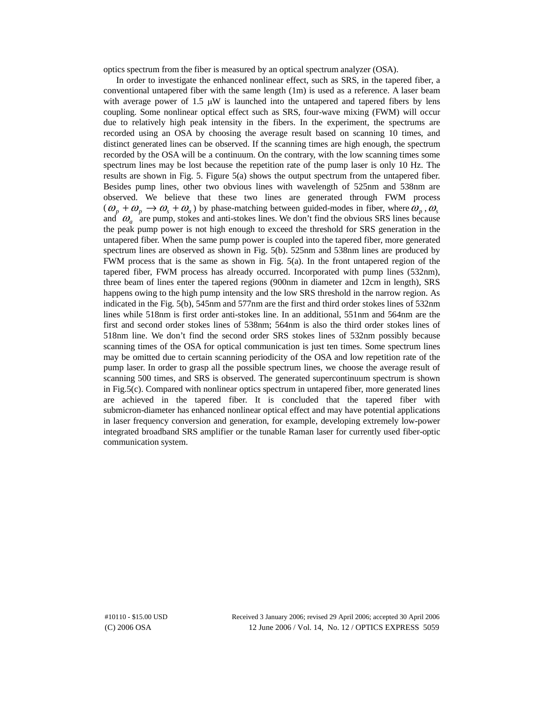optics spectrum from the fiber is measured by an optical spectrum analyzer (OSA).

In order to investigate the enhanced nonlinear effect, such as SRS, in the tapered fiber, a conventional untapered fiber with the same length (1m) is used as a reference. A laser beam with average power of 1.5  $\mu$ W is launched into the untapered and tapered fibers by lens coupling. Some nonlinear optical effect such as SRS, four-wave mixing (FWM) will occur due to relatively high peak intensity in the fibers. In the experiment, the spectrums are recorded using an OSA by choosing the average result based on scanning 10 times, and distinct generated lines can be observed. If the scanning times are high enough, the spectrum recorded by the OSA will be a continuum. On the contrary, with the low scanning times some spectrum lines may be lost because the repetition rate of the pump laser is only 10 Hz. The results are shown in Fig. 5. Figure 5(a) shows the output spectrum from the untapered fiber. Besides pump lines, other two obvious lines with wavelength of 525nm and 538nm are observed. We believe that these two lines are generated through FWM process  $(\omega_p + \omega_p \rightarrow \omega_s + \omega_a)$  by phase-matching between guided-modes in fiber, where  $\omega_p$ ,  $\omega_s$ and  $\omega_a$  are pump, stokes and anti-stokes lines. We don't find the obvious SRS lines because the peak pump power is not high enough to exceed the threshold for SRS generation in the untapered fiber. When the same pump power is coupled into the tapered fiber, more generated spectrum lines are observed as shown in Fig. 5(b). 525nm and 538nm lines are produced by FWM process that is the same as shown in Fig. 5(a). In the front untapered region of the tapered fiber, FWM process has already occurred. Incorporated with pump lines (532nm), three beam of lines enter the tapered regions (900nm in diameter and 12cm in length), SRS happens owing to the high pump intensity and the low SRS threshold in the narrow region. As indicated in the Fig. 5(b), 545nm and 577nm are the first and third order stokes lines of 532nm lines while 518nm is first order anti-stokes line. In an additional, 551nm and 564nm are the first and second order stokes lines of 538nm; 564nm is also the third order stokes lines of 518nm line. We don't find the second order SRS stokes lines of 532nm possibly because scanning times of the OSA for optical communication is just ten times. Some spectrum lines may be omitted due to certain scanning periodicity of the OSA and low repetition rate of the pump laser. In order to grasp all the possible spectrum lines, we choose the average result of scanning 500 times, and SRS is observed. The generated supercontinuum spectrum is shown in Fig.5(c). Compared with nonlinear optics spectrum in untapered fiber, more generated lines are achieved in the tapered fiber. It is concluded that the tapered fiber with submicron-diameter has enhanced nonlinear optical effect and may have potential applications in laser frequency conversion and generation, for example, developing extremely low-power integrated broadband SRS amplifier or the tunable Raman laser for currently used fiber-optic communication system.